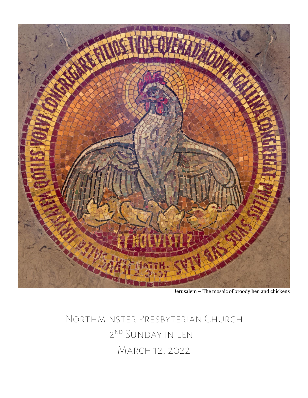

Jerusalem – The mosaic of broody hen and chickens

Northminster Presbyterian Church 2ND SUNDAY IN LENT March 12, 2022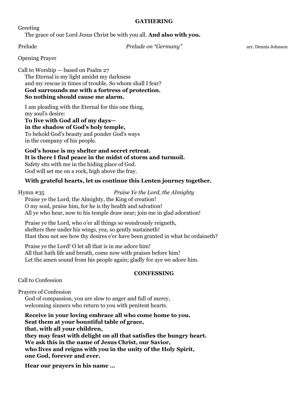#### **GATHERING**

Greeting

The grace of our Lord Jesus Christ be with you all. **And also with you.**

Prelude *Prelude on "Germany"* arr. Dennis Johnson

Opening Prayer

Call to Worship — based on Psalm 27 The Eternal is my light amidst my darkness and my rescue in times of trouble. So whom shall I fear? **God surrounds me with a fortress of protection. So nothing should cause me alarm.**

I am pleading with the Eternal for this one thing, my soul's desire:

**To live with God all of my days in the shadow of God's holy temple,**

To behold God's beauty and ponder God's ways in the company of his people.

**God's house is my shelter and secret retreat. It is there I find peace in the midst of storm and turmoil.** Safety sits with me in the hiding place of God. God will set me on a rock, high above the fray.

# **With grateful hearts, let us continue this Lenten journey together.**

## Hymn #35 *Praise Ye the Lord, the Almighty*

Praise ye the Lord, the Almighty, the King of creation! O my soul, praise him, for he is thy health and salvation! All ye who hear, now to his temple draw near; join me in glad adoration!

Praise ye the Lord, who o'er all things so wondrously reigneth, shelters thee under his wings, yea, so gently sustaineth! Hast thou not see how thy desires e'er have been granted in what he ordaineth?

Praise ye the Lord! O let all that is in me adore him! All that hath life and breath, come now with praises before him! Let the amen sound from his people again; gladly for aye we adore him.

#### **CONFESSING**

Call to Confession

Prayers of Confession God of compassion, you are slow to anger and full of mercy, welcoming sinners who return to you with penitent hearts.

**Receive in your loving embrace all who come home to you. Seat them at your bountiful table of grace, that, with all your children, they may feast with delight on all that satisfies the hungry heart. We ask this in the name of Jesus Christ, our Savior, who lives and reigns with you in the unity of the Holy Spirit, one God, forever and ever.**

**Hear our prayers in his name …**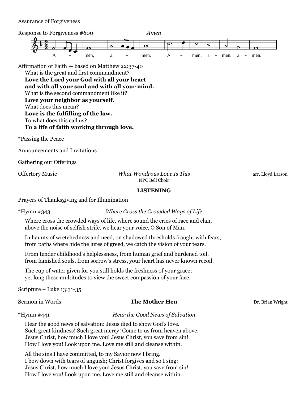Assurance of Forgiveness



Affirmation of Faith — based on Matthew 22:37-40 What is the great and first commandment?

**Love the Lord your God with all your heart and with all your soul and with all your mind.** What is the second commandment like it? **Love your neighbor as yourself.** What does this mean? **Love is the fulfilling of the law.** To what does this call us?

**To a life of faith working through love.**

\*Passing the Peace

Announcements and Invitations

Gathering our Offerings

Offertory Music *What Wondrous Love Is This* arr. Lloyd Larson NPC Bell Choir

# **LISTENING**

Prayers of Thanksgiving and for Illumination

\*Hymn #343 *Where Cross the Crowded Ways of Life*

Where cross the crowded ways of life, where sound the cries of race and clan, above the noise of selfish strife, we hear your voice, O Son of Man.

In haunts of wretchedness and need, on shadowed thresholds fraught with fears, from paths where hide the lures of greed, we catch the vision of your tears.

From tender childhood's helplessness, from human grief and burdened toil, from famished souls, from sorrow's stress, your heart has never known recoil.

The cup of water given for you still holds the freshness of your grace; yet long these multitudes to view the sweet compassion of your face.

Scripture – Luke 13:31-35

#### **Sermon in Words The Mother Hen** Dr. Brian Wright

\*Hymn #441 *Hear the Good News of Salvation*

Hear the good news of salvation: Jesus died to show God's love. Such great kindness! Such great mercy! Come to us from heaven above. Jesus Christ, how much I love you! Jesus Christ, you save from sin! How I love you! Look upon me. Love me still and cleanse within.

All the sins I have committed, to my Savior now I bring. I bow down with tears of anguish; Christ forgives and so I sing: Jesus Christ, how much I love you! Jesus Christ, you save from sin! How I love you! Look upon me. Love me still and cleanse within.